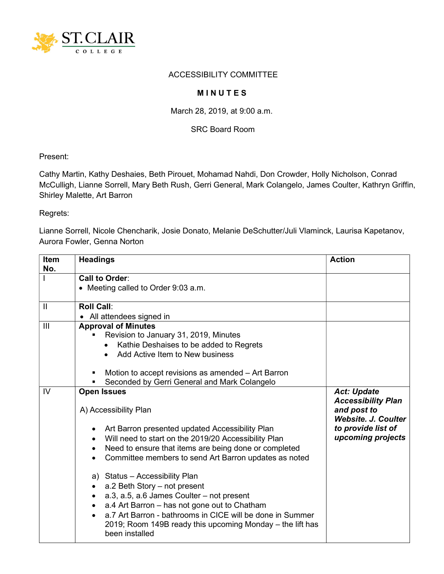

## ACCESSIBILITY COMMITTEE

## **MINUTES**

March 28, 2019, at 9:00 a.m.

SRC Board Room

Present:

Cathy Martin, Kathy Deshaies, Beth Pirouet, Mohamad Nahdi, Don Crowder, Holly Nicholson, Conrad McCulligh, Lianne Sorrell, Mary Beth Rush, Gerri General, Mark Colangelo, James Coulter, Kathryn Griffin, Shirley Malette, Art Barron

Regrets:

Lianne Sorrell, Nicole Chencharik, Josie Donato, Melanie DeSchutter/Juli Vlaminck, Laurisa Kapetanov, Aurora Fowler, Genna Norton

| <b>Item</b><br>No. | <b>Headings</b>                                                                     | <b>Action</b>                                                          |
|--------------------|-------------------------------------------------------------------------------------|------------------------------------------------------------------------|
|                    | Call to Order:                                                                      |                                                                        |
|                    | • Meeting called to Order 9:03 a.m.                                                 |                                                                        |
| $\mathbf{  }$      | <b>Roll Call:</b>                                                                   |                                                                        |
|                    | • All attendees signed in                                                           |                                                                        |
| III                | <b>Approval of Minutes</b>                                                          |                                                                        |
|                    | Revision to January 31, 2019, Minutes                                               |                                                                        |
|                    | Kathie Deshaises to be added to Regrets                                             |                                                                        |
|                    | Add Active Item to New business<br>$\bullet$                                        |                                                                        |
|                    | Motion to accept revisions as amended - Art Barron                                  |                                                                        |
|                    | Seconded by Gerri General and Mark Colangelo                                        |                                                                        |
| IV                 | <b>Open Issues</b>                                                                  | <b>Act: Update</b>                                                     |
|                    | A) Accessibility Plan                                                               | <b>Accessibility Plan</b><br>and post to<br><b>Website, J. Coulter</b> |
|                    | Art Barron presented updated Accessibility Plan<br>$\bullet$                        | to provide list of                                                     |
|                    | Will need to start on the 2019/20 Accessibility Plan<br>$\bullet$                   | upcoming projects                                                      |
|                    | Need to ensure that items are being done or completed<br>$\bullet$                  |                                                                        |
|                    | Committee members to send Art Barron updates as noted                               |                                                                        |
|                    | a) Status - Accessibility Plan<br>a.2 Beth Story - not present<br>$\bullet$         |                                                                        |
|                    | a.3, a.5, a.6 James Coulter – not present                                           |                                                                        |
|                    | $\bullet$<br>a.4 Art Barron - has not gone out to Chatham                           |                                                                        |
|                    | $\bullet$<br>a.7 Art Barron - bathrooms in CICE will be done in Summer<br>$\bullet$ |                                                                        |
|                    | 2019; Room 149B ready this upcoming Monday – the lift has<br>been installed         |                                                                        |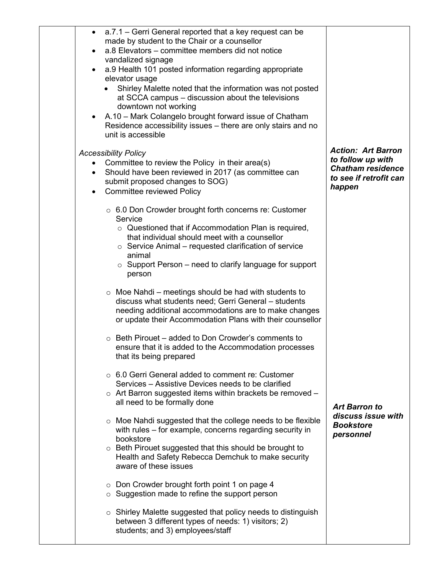| a.7.1 – Gerri General reported that a key request can be<br>$\bullet$<br>made by student to the Chair or a counsellor<br>a.8 Elevators - committee members did not notice<br>$\bullet$<br>vandalized signage<br>a.9 Health 101 posted information regarding appropriate<br>elevator usage<br>Shirley Malette noted that the information was not posted<br>at SCCA campus – discussion about the televisions<br>downtown not working<br>• A.10 - Mark Colangelo brought forward issue of Chatham<br>Residence accessibility issues – there are only stairs and no<br>unit is accessible |                                                                                                                |
|----------------------------------------------------------------------------------------------------------------------------------------------------------------------------------------------------------------------------------------------------------------------------------------------------------------------------------------------------------------------------------------------------------------------------------------------------------------------------------------------------------------------------------------------------------------------------------------|----------------------------------------------------------------------------------------------------------------|
| <b>Accessibility Policy</b><br>Committee to review the Policy in their area(s)<br>$\bullet$<br>Should have been reviewed in 2017 (as committee can<br>$\bullet$<br>submit proposed changes to SOG)<br><b>Committee reviewed Policy</b>                                                                                                                                                                                                                                                                                                                                                 | <b>Action: Art Barron</b><br>to follow up with<br><b>Chatham residence</b><br>to see if retrofit can<br>happen |
| $\circ$ 6.0 Don Crowder brought forth concerns re: Customer<br>Service<br>$\circ$ Questioned that if Accommodation Plan is required,<br>that individual should meet with a counsellor<br>$\circ$ Service Animal – requested clarification of service<br>animal<br>$\circ$ Support Person – need to clarify language for support<br>person                                                                                                                                                                                                                                              |                                                                                                                |
| $\circ$ Moe Nahdi – meetings should be had with students to<br>discuss what students need; Gerri General - students<br>needing additional accommodations are to make changes<br>or update their Accommodation Plans with their counsellor                                                                                                                                                                                                                                                                                                                                              |                                                                                                                |
| Beth Pirouet – added to Don Crowder's comments to<br>ensure that it is added to the Accommodation processes<br>that its being prepared                                                                                                                                                                                                                                                                                                                                                                                                                                                 |                                                                                                                |
| ○ 6.0 Gerri General added to comment re: Customer<br>Services – Assistive Devices needs to be clarified<br>$\circ$ Art Barron suggested items within brackets be removed –<br>all need to be formally done                                                                                                                                                                                                                                                                                                                                                                             | <b>Art Barron to</b>                                                                                           |
| Moe Nahdi suggested that the college needs to be flexible<br>with rules – for example, concerns regarding security in<br>bookstore<br>○ Beth Pirouet suggested that this should be brought to<br>Health and Safety Rebecca Demchuk to make security<br>aware of these issues                                                                                                                                                                                                                                                                                                           | discuss issue with<br><b>Bookstore</b><br>personnel                                                            |
| ○ Don Crowder brought forth point 1 on page 4<br>$\circ$ Suggestion made to refine the support person                                                                                                                                                                                                                                                                                                                                                                                                                                                                                  |                                                                                                                |
| $\circ$ Shirley Malette suggested that policy needs to distinguish<br>between 3 different types of needs: 1) visitors; 2)<br>students; and 3) employees/staff                                                                                                                                                                                                                                                                                                                                                                                                                          |                                                                                                                |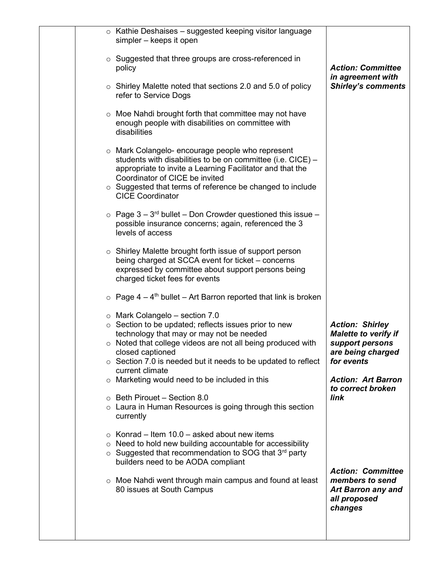|         | $\circ$ Kathie Deshaises – suggested keeping visitor language<br>simpler - keeps it open                                                                                                                                                                                                                                                                                            |                                                                                                                                                               |
|---------|-------------------------------------------------------------------------------------------------------------------------------------------------------------------------------------------------------------------------------------------------------------------------------------------------------------------------------------------------------------------------------------|---------------------------------------------------------------------------------------------------------------------------------------------------------------|
|         | $\circ$ Suggested that three groups are cross-referenced in<br>policy                                                                                                                                                                                                                                                                                                               | <b>Action: Committee</b><br>in agreement with                                                                                                                 |
|         | o Shirley Malette noted that sections 2.0 and 5.0 of policy<br>refer to Service Dogs                                                                                                                                                                                                                                                                                                | <b>Shirley's comments</b>                                                                                                                                     |
|         | $\circ$ Moe Nahdi brought forth that committee may not have<br>enough people with disabilities on committee with<br>disabilities                                                                                                                                                                                                                                                    |                                                                                                                                                               |
|         | o Mark Colangelo- encourage people who represent<br>students with disabilities to be on committee (i.e. CICE) -<br>appropriate to invite a Learning Facilitator and that the<br>Coordinator of CICE be invited<br>$\circ$ Suggested that terms of reference be changed to include<br><b>CICE Coordinator</b>                                                                        |                                                                                                                                                               |
|         | $\circ$ Page 3 – 3 <sup>rd</sup> bullet – Don Crowder questioned this issue –<br>possible insurance concerns; again, referenced the 3<br>levels of access                                                                                                                                                                                                                           |                                                                                                                                                               |
|         | $\circ$ Shirley Malette brought forth issue of support person<br>being charged at SCCA event for ticket – concerns<br>expressed by committee about support persons being<br>charged ticket fees for events                                                                                                                                                                          |                                                                                                                                                               |
|         | $\circ$ Page 4 – 4 <sup>th</sup> bullet – Art Barron reported that link is broken                                                                                                                                                                                                                                                                                                   |                                                                                                                                                               |
|         | $\circ$ Mark Colangelo – section 7.0<br>$\circ$ Section to be updated; reflects issues prior to new<br>technology that may or may not be needed<br>$\circ$ Noted that college videos are not all being produced with<br>closed captioned<br>$\circ$ Section 7.0 is needed but it needs to be updated to reflect<br>current climate<br>o Marketing would need to be included in this | <b>Action: Shirley</b><br><b>Malette to verify if</b><br>support persons<br>are being charged<br>for events<br><b>Action: Art Barron</b><br>to correct broken |
|         | $\circ$ Beth Pirouet – Section 8.0<br>Laura in Human Resources is going through this section<br>currently                                                                                                                                                                                                                                                                           | link                                                                                                                                                          |
| $\circ$ | $\circ$ Konrad – Item 10.0 – asked about new items<br>Need to hold new building accountable for accessibility<br>$\circ$ Suggested that recommendation to SOG that 3 <sup>rd</sup> party<br>builders need to be AODA compliant<br>$\circ$ Moe Nahdi went through main campus and found at least<br>80 issues at South Campus                                                        | <b>Action: Committee</b><br>members to send<br><b>Art Barron any and</b>                                                                                      |
|         |                                                                                                                                                                                                                                                                                                                                                                                     | all proposed<br>changes                                                                                                                                       |